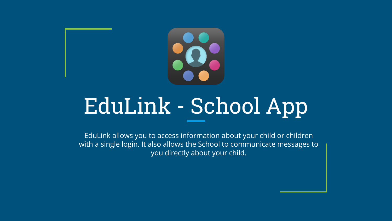

### EduLink - School App

EduLink allows you to access information about your child or children with a single login. It also allows the School to communicate messages to you directly about your child.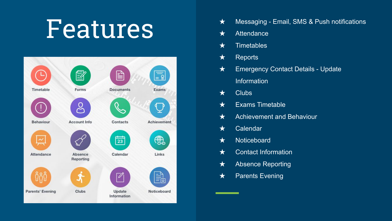### Features



- ★ Messaging Email, SMS & Push notifications
- ★ Attendance
- $\star$  Timetables
- ★ Reports
- ★ Emergency Contact Details Update Information
- $\star$  Clubs
- $\star$  Exams Timetable
- ★ Achievement and Behaviour
- ★ Calendar
- ★ Noticeboard
- ★ Contact Information
- ★ Absence Reporting
- **★** Parents Evening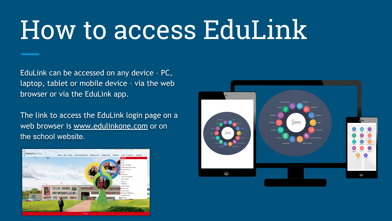### How to access EduLink

EduLink can be accessed on any device – PC, laptop, tablet or mobile device – via the web browser or via the EduLink app.

The link to access the EduLink login page on a web browser is [www.edulinkone.com](http://www.edulinkone.com/) or on the school website.



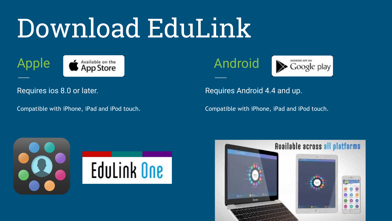## Download EduLink

### Apple



#### Requires ios 8.0 or later.

Compatible with iPhone, iPad and iPod touch.

Android



Requires Android 4.4 and up.

Compatible with iPhone, iPad and iPod touch.



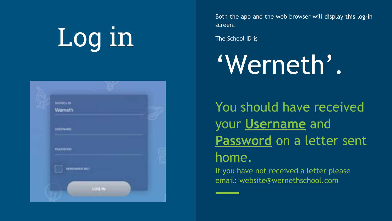# Log in



Both the app and the web browser will display this log-in screen.

The School ID is

### 'Werneth'.

You should have received your **Username** and **Password** on a letter sent home.

If you have not received a letter please email: [website@wernethschool.com](mailto:website@wernethschool.com)